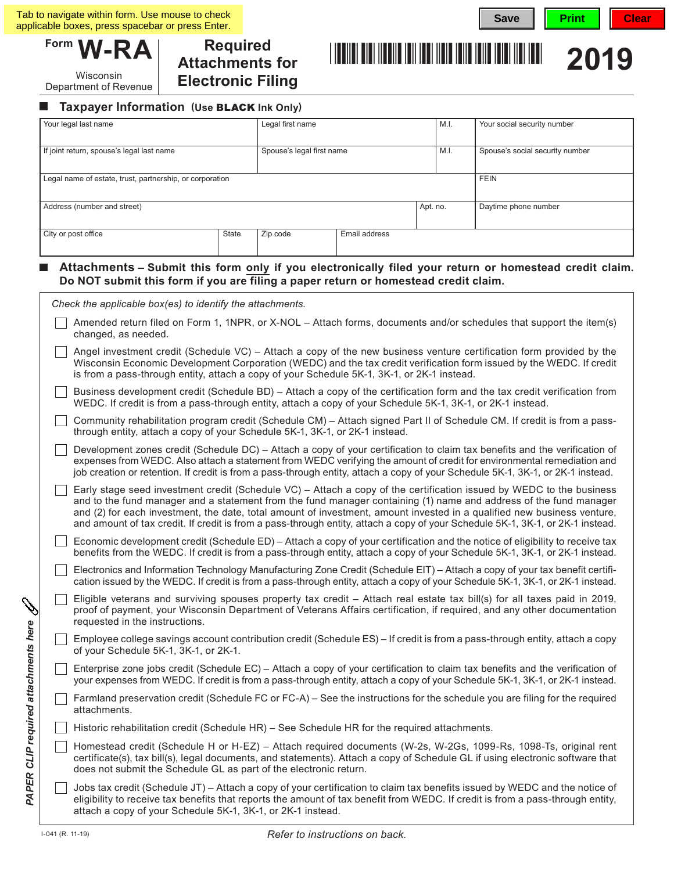Wisconsin Department of Revenue

**Required Attachments for Electronic Filing**



#### **Taxpayer Information (Use** BLACK **Ink Only)**  $\mathcal{L}_{\mathcal{A}}$

| Your legal last name<br>If joint return, spouse's legal last name |                                                                                                                                                                                                                                                                                                                                                                                                                                                                                                        | Legal first name<br>Spouse's legal first name |  | M.I. | Your social security number<br>Spouse's social security number |                      |
|-------------------------------------------------------------------|--------------------------------------------------------------------------------------------------------------------------------------------------------------------------------------------------------------------------------------------------------------------------------------------------------------------------------------------------------------------------------------------------------------------------------------------------------------------------------------------------------|-----------------------------------------------|--|------|----------------------------------------------------------------|----------------------|
|                                                                   |                                                                                                                                                                                                                                                                                                                                                                                                                                                                                                        |                                               |  | M.I. |                                                                |                      |
| Legal name of estate, trust, partnership, or corporation          |                                                                                                                                                                                                                                                                                                                                                                                                                                                                                                        |                                               |  |      |                                                                | <b>FEIN</b>          |
| Address (number and street)                                       |                                                                                                                                                                                                                                                                                                                                                                                                                                                                                                        |                                               |  |      | Apt. no.                                                       | Daytime phone number |
| City or post office<br>State                                      |                                                                                                                                                                                                                                                                                                                                                                                                                                                                                                        | Zip code<br>Email address                     |  |      |                                                                |                      |
|                                                                   |                                                                                                                                                                                                                                                                                                                                                                                                                                                                                                        |                                               |  |      |                                                                |                      |
|                                                                   | Attachments – Submit this form only if you electronically filed your return or homestead credit claim.<br>Do NOT submit this form if you are filing a paper return or homestead credit claim.                                                                                                                                                                                                                                                                                                          |                                               |  |      |                                                                |                      |
|                                                                   | Check the applicable box(es) to identify the attachments.                                                                                                                                                                                                                                                                                                                                                                                                                                              |                                               |  |      |                                                                |                      |
|                                                                   | Amended return filed on Form 1, 1NPR, or X-NOL - Attach forms, documents and/or schedules that support the item(s)<br>changed, as needed.                                                                                                                                                                                                                                                                                                                                                              |                                               |  |      |                                                                |                      |
|                                                                   | Angel investment credit (Schedule VC) – Attach a copy of the new business venture certification form provided by the<br>Wisconsin Economic Development Corporation (WEDC) and the tax credit verification form issued by the WEDC. If credit<br>is from a pass-through entity, attach a copy of your Schedule 5K-1, 3K-1, or 2K-1 instead.                                                                                                                                                             |                                               |  |      |                                                                |                      |
|                                                                   | Business development credit (Schedule BD) - Attach a copy of the certification form and the tax credit verification from<br>WEDC. If credit is from a pass-through entity, attach a copy of your Schedule 5K-1, 3K-1, or 2K-1 instead.                                                                                                                                                                                                                                                                 |                                               |  |      |                                                                |                      |
|                                                                   | Community rehabilitation program credit (Schedule CM) - Attach signed Part II of Schedule CM. If credit is from a pass-<br>through entity, attach a copy of your Schedule 5K-1, 3K-1, or 2K-1 instead.                                                                                                                                                                                                                                                                                                 |                                               |  |      |                                                                |                      |
|                                                                   | Development zones credit (Schedule DC) – Attach a copy of your certification to claim tax benefits and the verification of<br>expenses from WEDC. Also attach a statement from WEDC verifying the amount of credit for environmental remediation and<br>job creation or retention. If credit is from a pass-through entity, attach a copy of your Schedule 5K-1, 3K-1, or 2K-1 instead.                                                                                                                |                                               |  |      |                                                                |                      |
|                                                                   | Early stage seed investment credit (Schedule VC) – Attach a copy of the certification issued by WEDC to the business<br>and to the fund manager and a statement from the fund manager containing (1) name and address of the fund manager<br>and (2) for each investment, the date, total amount of investment, amount invested in a qualified new business venture,<br>and amount of tax credit. If credit is from a pass-through entity, attach a copy of your Schedule 5K-1, 3K-1, or 2K-1 instead. |                                               |  |      |                                                                |                      |
|                                                                   | Economic development credit (Schedule ED) – Attach a copy of your certification and the notice of eligibility to receive tax<br>benefits from the WEDC. If credit is from a pass-through entity, attach a copy of your Schedule 5K-1, 3K-1, or 2K-1 instead.                                                                                                                                                                                                                                           |                                               |  |      |                                                                |                      |
|                                                                   | Electronics and Information Technology Manufacturing Zone Credit (Schedule EIT) - Attach a copy of your tax benefit certifi-<br>cation issued by the WEDC. If credit is from a pass-through entity, attach a copy of your Schedule 5K-1, 3K-1, or 2K-1 instead.                                                                                                                                                                                                                                        |                                               |  |      |                                                                |                      |
|                                                                   | Eligible veterans and surviving spouses property tax credit - Attach real estate tax bill(s) for all taxes paid in 2019,<br>proof of payment, your Wisconsin Department of Veterans Affairs certification, if required, and any other documentation<br>requested in the instructions.                                                                                                                                                                                                                  |                                               |  |      |                                                                |                      |
|                                                                   | Employee college savings account contribution credit (Schedule ES) – If credit is from a pass-through entity, attach a copy<br>of your Schedule 5K-1, 3K-1, or 2K-1.                                                                                                                                                                                                                                                                                                                                   |                                               |  |      |                                                                |                      |
|                                                                   | Enterprise zone jobs credit (Schedule EC) - Attach a copy of your certification to claim tax benefits and the verification of<br>your expenses from WEDC. If credit is from a pass-through entity, attach a copy of your Schedule 5K-1, 3K-1, or 2K-1 instead.                                                                                                                                                                                                                                         |                                               |  |      |                                                                |                      |
|                                                                   | Farmland preservation credit (Schedule FC or FC-A) – See the instructions for the schedule you are filing for the required<br>attachments.                                                                                                                                                                                                                                                                                                                                                             |                                               |  |      |                                                                |                      |
|                                                                   | Historic rehabilitation credit (Schedule HR) - See Schedule HR for the required attachments.                                                                                                                                                                                                                                                                                                                                                                                                           |                                               |  |      |                                                                |                      |
|                                                                   | Homestead credit (Schedule H or H-EZ) - Attach required documents (W-2s, W-2Gs, 1099-Rs, 1098-Ts, original rent<br>certificate(s), tax bill(s), legal documents, and statements). Attach a copy of Schedule GL if using electronic software that<br>does not submit the Schedule GL as part of the electronic return.                                                                                                                                                                                  |                                               |  |      |                                                                |                      |
|                                                                   | Jobs tax credit (Schedule JT) – Attach a copy of your certification to claim tax benefits issued by WEDC and the notice of<br>eligibility to receive tax benefits that reports the amount of tax benefit from WEDC. If credit is from a pass-through entity,<br>attach a copy of your Schedule 5K-1, 3K-1, or 2K-1 instead.                                                                                                                                                                            |                                               |  |      |                                                                |                      |